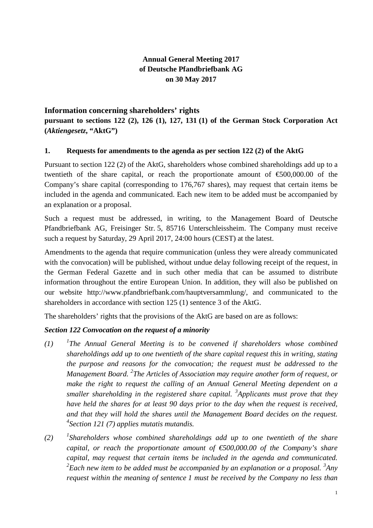# **Annual General Meeting 2017 of Deutsche Pfandbriefbank AG on 30 May 2017**

# **Information concerning shareholders' rights**

**pursuant to sections 122 (2), 126 (1), 127, 131 (1) of the German Stock Corporation Act (***Aktiengesetz***, "AktG")**

# **1. Requests for amendments to the agenda as per section 122 (2) of the AktG**

Pursuant to section 122 (2) of the AktG, shareholders whose combined shareholdings add up to a twentieth of the share capital, or reach the proportionate amount of  $\epsilon$ 500,000.00 of the Company's share capital (corresponding to 176,767 shares), may request that certain items be included in the agenda and communicated. Each new item to be added must be accompanied by an explanation or a proposal.

Such a request must be addressed, in writing, to the Management Board of Deutsche Pfandbriefbank AG, Freisinger Str. 5, 85716 Unterschleissheim. The Company must receive such a request by Saturday, 29 April 2017, 24:00 hours (CEST) at the latest.

Amendments to the agenda that require communication (unless they were already communicated with the convocation) will be published, without undue delay following receipt of the request, in the German Federal Gazette and in such other media that can be assumed to distribute information throughout the entire European Union. In addition, they will also be published on our website http://www.pfandbriefbank.com/hauptversammlung/, and communicated to the shareholders in accordance with section 125 (1) sentence 3 of the AktG.

The shareholders' rights that the provisions of the AktG are based on are as follows:

# *Section 122 Convocation on the request of a minority*

- $(1)$ *The Annual General Meeting is to be convened if shareholders whose combined shareholdings add up to one twentieth of the share capital request this in writing, stating the purpose and reasons for the convocation; the request must be addressed to the Management Board. <sup>2</sup> The Articles of Association may require another form of request, or make the right to request the calling of an Annual General Meeting dependent on a smaller shareholding in the registered share capital. <sup>3</sup> Applicants must prove that they have held the shares for at least 90 days prior to the day when the request is received, and that they will hold the shares until the Management Board decides on the request. 4 Section 121 (7) applies mutatis mutandis.*
- $(2)$ *Shareholders whose combined shareholdings add up to one twentieth of the share capital, or reach the proportionate amount of €500,000.00 of the Company's share capital, may request that certain items be included in the agenda and communicated.*  <sup>2</sup> Each new item to be added must be accompanied by an explanation or a proposal. <sup>3</sup>Any *request within the meaning of sentence 1 must be received by the Company no less than*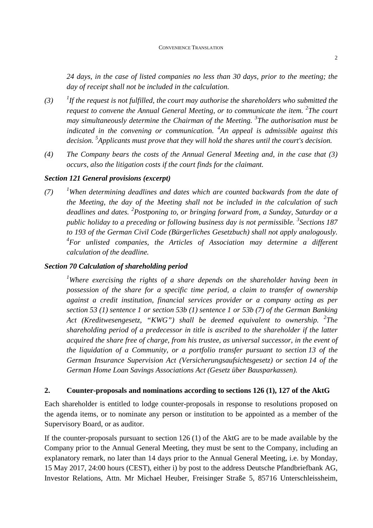*24 days, in the case of listed companies no less than 30 days, prior to the meeting; the day of receipt shall not be included in the calculation.* 

- $(3)$ *If the request is not fulfilled, the court may authorise the shareholders who submitted the request to convene the Annual General Meeting, or to communicate the item.* <sup>2</sup>The court *may simultaneously determine the Chairman of the Meeting. <sup>3</sup> The authorisation must be indicated in the convening or communication. <sup>4</sup> An appeal is admissible against this decision. <sup>5</sup> Applicants must prove that they will hold the shares until the court's decision.*
- *(4) The Company bears the costs of the Annual General Meeting and, in the case that (3) occurs, also the litigation costs if the court finds for the claimant.*

#### *Section 121 General provisions (excerpt)*

*(7) <sup>1</sup>When determining deadlines and dates which are counted backwards from the date of the Meeting, the day of the Meeting shall not be included in the calculation of such deadlines and dates. <sup>2</sup> Postponing to, or bringing forward from, a Sunday, Saturday or a public holiday to a preceding or following business day is not permissible. <sup>3</sup> Sections 187 to 193 of the German Civil Code (Bürgerliches Gesetzbuch) shall not apply analogously.*  <sup>4</sup> For unlisted companies, the Articles of Association may determine a different *calculation of the deadline.* 

#### *Section 70 Calculation of shareholding period*

*<sup>1</sup>Where exercising the rights of a share depends on the shareholder having been in possession of the share for a specific time period, a claim to transfer of ownership against a credit institution, financial services provider or a company acting as per section 53 (1) sentence 1 or section 53b (1) sentence 1 or 53b (7) of the German Banking Act (Kreditwesengesetz, "KWG") shall be deemed equivalent to ownership. <sup>2</sup> The shareholding period of a predecessor in title is ascribed to the shareholder if the latter acquired the share free of charge, from his trustee, as universal successor, in the event of the liquidation of a Community, or a portfolio transfer pursuant to section 13 of the German Insurance Supervision Act (Versicherungsaufsichtsgesetz) or section 14 of the German Home Loan Savings Associations Act (Gesetz über Bausparkassen).* 

#### **2. Counter-proposals and nominations according to sections 126 (1), 127 of the AktG**

Each shareholder is entitled to lodge counter-proposals in response to resolutions proposed on the agenda items, or to nominate any person or institution to be appointed as a member of the Supervisory Board, or as auditor.

If the counter-proposals pursuant to section 126 (1) of the AktG are to be made available by the Company prior to the Annual General Meeting, they must be sent to the Company, including an explanatory remark, no later than 14 days prior to the Annual General Meeting, i.e. by Monday, 15 May 2017, 24:00 hours (CEST), either i) by post to the address Deutsche Pfandbriefbank AG, Investor Relations, Attn. Mr Michael Heuber, Freisinger Straße 5, 85716 Unterschleissheim,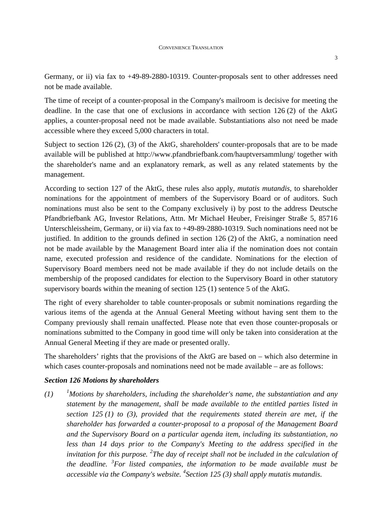Germany, or ii) via fax to +49-89-2880-10319. Counter-proposals sent to other addresses need not be made available.

The time of receipt of a counter-proposal in the Company's mailroom is decisive for meeting the deadline. In the case that one of exclusions in accordance with section 126 (2) of the AktG applies, a counter-proposal need not be made available. Substantiations also not need be made accessible where they exceed 5,000 characters in total.

Subject to section 126 (2), (3) of the AktG, shareholders' counter-proposals that are to be made available will be published at http://www.pfandbriefbank.com/hauptversammlung/ together with the shareholder's name and an explanatory remark, as well as any related statements by the management.

According to section 127 of the AktG, these rules also apply, *mutatis mutandis*, to shareholder nominations for the appointment of members of the Supervisory Board or of auditors. Such nominations must also be sent to the Company exclusively i) by post to the address Deutsche Pfandbriefbank AG, Investor Relations, Attn. Mr Michael Heuber, Freisinger Straße 5, 85716 Unterschleissheim, Germany, or ii) via fax to +49-89-2880-10319. Such nominations need not be justified. In addition to the grounds defined in section 126 (2) of the AktG, a nomination need not be made available by the Management Board inter alia if the nomination does not contain name, executed profession and residence of the candidate. Nominations for the election of Supervisory Board members need not be made available if they do not include details on the membership of the proposed candidates for election to the Supervisory Board in other statutory supervisory boards within the meaning of section 125 (1) sentence 5 of the AktG.

The right of every shareholder to table counter-proposals or submit nominations regarding the various items of the agenda at the Annual General Meeting without having sent them to the Company previously shall remain unaffected. Please note that even those counter-proposals or nominations submitted to the Company in good time will only be taken into consideration at the Annual General Meeting if they are made or presented orally.

The shareholders' rights that the provisions of the AktG are based on – which also determine in which cases counter-proposals and nominations need not be made available – are as follows:

#### *Section 126 Motions by shareholders*

*(1) <sup>1</sup>Motions by shareholders, including the shareholder's name, the substantiation and any statement by the management, shall be made available to the entitled parties listed in section 125 (1) to (3), provided that the requirements stated therein are met, if the shareholder has forwarded a counter-proposal to a proposal of the Management Board and the Supervisory Board on a particular agenda item, including its substantiation, no less than 14 days prior to the Company's Meeting to the address specified in the invitation for this purpose. <sup>2</sup> The day of receipt shall not be included in the calculation of the deadline. <sup>3</sup> For listed companies, the information to be made available must be accessible via the Company's website. <sup>4</sup> Section 125 (3) shall apply mutatis mutandis.*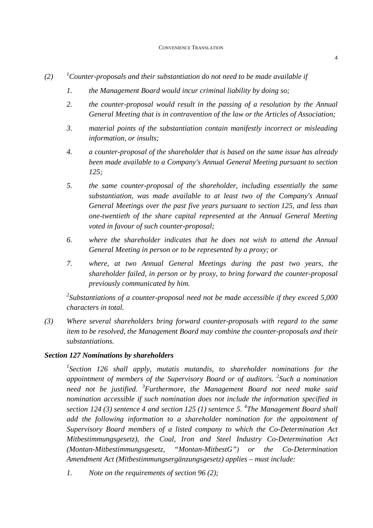- $(2)$  <sup>1</sup>*Counter-proposals and their substantiation do not need to be made available if* 
	- *1. the Management Board would incur criminal liability by doing so;*
	- *2. the counter-proposal would result in the passing of a resolution by the Annual General Meeting that is in contravention of the law or the Articles of Association;*
	- *3. material points of the substantiation contain manifestly incorrect or misleading information, or insults;*
	- *4. a counter-proposal of the shareholder that is based on the same issue has already been made available to a Company's Annual General Meeting pursuant to section 125;*
	- *5. the same counter-proposal of the shareholder, including essentially the same substantiation, was made available to at least two of the Company's Annual General Meetings over the past five years pursuant to section 125, and less than one-twentieth of the share capital represented at the Annual General Meeting voted in favour of such counter-proposal;*
	- *6. where the shareholder indicates that he does not wish to attend the Annual General Meeting in person or to be represented by a proxy; or*
	- *7. where, at two Annual General Meetings during the past two years, the shareholder failed, in person or by proxy, to bring forward the counter-proposal previously communicated by him.*

*<sup>2</sup>Substantiations of a counter-proposal need not be made accessible if they exceed 5,000 characters in total.* 

*(3) Where several shareholders bring forward counter-proposals with regard to the same item to be resolved, the Management Board may combine the counter-proposals and their substantiations.* 

## *Section 127 Nominations by shareholders*

<sup>1</sup> Section 126 shall apply, mutatis mutandis, to shareholder nominations for the *appointment of members of the Supervisory Board or of auditors. <sup>2</sup> Such a nomination need not be justified. <sup>3</sup> Furthermore, the Management Board not need make said nomination accessible if such nomination does not include the information specified in section 124 (3) sentence 4 and section 125 (1) sentence 5. <sup>4</sup> The Management Board shall add the following information to a shareholder nomination for the appointment of Supervisory Board members of a listed company to which the Co-Determination Act Mitbestimmungsgesetz), the Coal, Iron and Steel Industry Co-Determination Act (Montan-Mitbestimmungsgesetz, "Montan-MitbestG") or the Co-Determination Amendment Act (Mitbestimmungsergänzungsgesetz) applies – must include:* 

*1. Note on the requirements of section 96 (2);*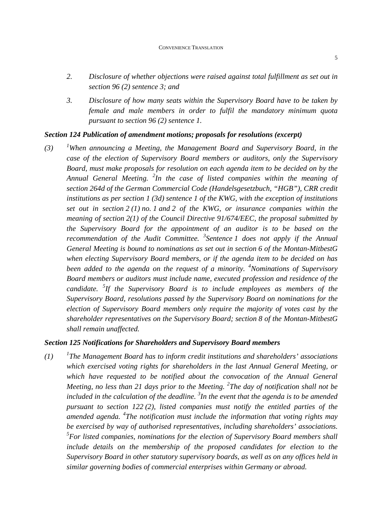- *2. Disclosure of whether objections were raised against total fulfillment as set out in section 96 (2) sentence 3; and*
- *3. Disclosure of how many seats within the Supervisory Board have to be taken by female and male members in order to fulfil the mandatory minimum quota pursuant to section 96 (2) sentence 1.*

#### *Section 124 Publication of amendment motions; proposals for resolutions (excerpt)*

*(3) <sup>1</sup>When announcing a Meeting, the Management Board and Supervisory Board, in the case of the election of Supervisory Board members or auditors, only the Supervisory Board, must make proposals for resolution on each agenda item to be decided on by the Annual General Meeting. <sup>2</sup> In the case of listed companies within the meaning of section 264d of the German Commercial Code (Handelsgesetzbuch, "HGB"), CRR credit institutions as per section 1 (3d) sentence 1 of the KWG, with the exception of institutions set out in section 2 (1) no. 1 and 2 of the KWG, or insurance companies within the meaning of section 2(1) of the Council Directive 91/674/EEC, the proposal submitted by the Supervisory Board for the appointment of an auditor is to be based on the*  recommendation of the Audit Committee. <sup>3</sup> Sentence 1 does not apply if the Annual *General Meeting is bound to nominations as set out in section 6 of the Montan-MitbestG when electing Supervisory Board members, or if the agenda item to be decided on has been added to the agenda on the request of a minority. <sup>4</sup>Nominations of Supervisory Board members or auditors must include name, executed profession and residence of the candidate. <sup>5</sup> If the Supervisory Board is to include employees as members of the Supervisory Board, resolutions passed by the Supervisory Board on nominations for the election of Supervisory Board members only require the majority of votes cast by the shareholder representatives on the Supervisory Board; section 8 of the Montan-MitbestG shall remain unaffected.* 

## *Section 125 Notifications for Shareholders and Supervisory Board members*

 $(1)$ *The Management Board has to inform credit institutions and shareholders' associations which exercised voting rights for shareholders in the last Annual General Meeting, or which have requested to be notified about the convocation of the Annual General Meeting, no less than 21 days prior to the Meeting. <sup>2</sup> The day of notification shall not be*  included in the calculation of the deadline. <sup>3</sup>In the event that the agenda is to be amended *pursuant to section 122 (2), listed companies must notify the entitled parties of the amended agenda. <sup>4</sup> The notification must include the information that voting rights may be exercised by way of authorised representatives, including shareholders' associations. 5 For listed companies, nominations for the election of Supervisory Board members shall include details on the membership of the proposed candidates for election to the Supervisory Board in other statutory supervisory boards, as well as on any offices held in similar governing bodies of commercial enterprises within Germany or abroad.*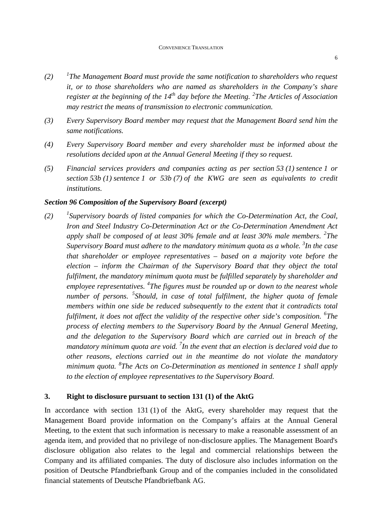- $(2)$ *The Management Board must provide the same notification to shareholders who request it, or to those shareholders who are named as shareholders in the Company's share register at the beginning of the 14th day before the Meeting. <sup>2</sup> The Articles of Association may restrict the means of transmission to electronic communication.*
- *(3) Every Supervisory Board member may request that the Management Board send him the same notifications.*
- *(4) Every Supervisory Board member and every shareholder must be informed about the resolutions decided upon at the Annual General Meeting if they so request.*
- *(5) Financial services providers and companies acting as per section 53 (1) sentence 1 or section 53b (1) sentence 1 or 53b (7) of the KWG are seen as equivalents to credit institutions.*

## *Section 96 Composition of the Supervisory Board (excerpt)*

 $(2)$ *Supervisory boards of listed companies for which the Co-Determination Act, the Coal, Iron and Steel Industry Co-Determination Act or the Co-Determination Amendment Act apply shall be composed of at least 30% female and at least 30% male members. <sup>2</sup> The Supervisory Board must adhere to the mandatory minimum quota as a whole. <sup>3</sup> In the case that shareholder or employee representatives – based on a majority vote before the election – inform the Chairman of the Supervisory Board that they object the total fulfilment, the mandatory minimum quota must be fulfilled separately by shareholder and employee representatives. <sup>4</sup> The figures must be rounded up or down to the nearest whole number of persons. <sup>5</sup> Should, in case of total fulfilment, the higher quota of female members within one side be reduced subsequently to the extent that it contradicts total fulfilment, it does not affect the validity of the respective other side's composition. <sup>6</sup> The process of electing members to the Supervisory Board by the Annual General Meeting, and the delegation to the Supervisory Board which are carried out in breach of the mandatory minimum quota are void. <sup>7</sup> In the event that an election is declared void due to other reasons, elections carried out in the meantime do not violate the mandatory minimum quota. <sup>8</sup> The Acts on Co-Determination as mentioned in sentence 1 shall apply to the election of employee representatives to the Supervisory Board.* 

#### **3. Right to disclosure pursuant to section 131 (1) of the AktG**

In accordance with section 131 (1) of the AktG, every shareholder may request that the Management Board provide information on the Company's affairs at the Annual General Meeting, to the extent that such information is necessary to make a reasonable assessment of an agenda item, and provided that no privilege of non-disclosure applies. The Management Board's disclosure obligation also relates to the legal and commercial relationships between the Company and its affiliated companies. The duty of disclosure also includes information on the position of Deutsche Pfandbriefbank Group and of the companies included in the consolidated financial statements of Deutsche Pfandbriefbank AG.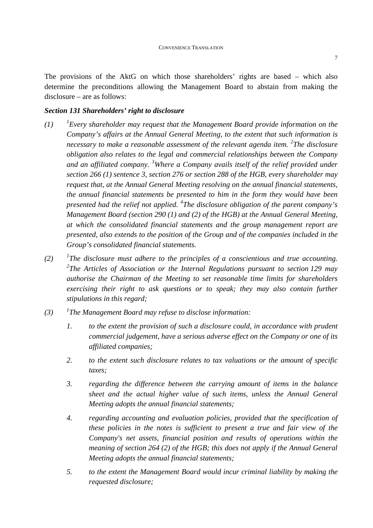The provisions of the AktG on which those shareholders' rights are based – which also determine the preconditions allowing the Management Board to abstain from making the

## *Section 131 Shareholders' right to disclosure*

disclosure – are as follows:

- $(1)$ *Every shareholder may request that the Management Board provide information on the Company's affairs at the Annual General Meeting, to the extent that such information is necessary to make a reasonable assessment of the relevant agenda item. <sup>2</sup> The disclosure obligation also relates to the legal and commercial relationships between the Company and an affiliated company. <sup>3</sup>Where a Company avails itself of the relief provided under section 266 (1) sentence 3, section 276 or section 288 of the HGB, every shareholder may request that, at the Annual General Meeting resolving on the annual financial statements, the annual financial statements be presented to him in the form they would have been presented had the relief not applied. <sup>4</sup> The disclosure obligation of the parent company's Management Board (section 290 (1) and (2) of the HGB) at the Annual General Meeting, at which the consolidated financial statements and the group management report are presented, also extends to the position of the Group and of the companies included in the Group's consolidated financial statements.*
- $(2)$ *The disclosure must adhere to the principles of a conscientious and true accounting. 2 The Articles of Association or the Internal Regulations pursuant to section 129 may authorise the Chairman of the Meeting to set reasonable time limits for shareholders exercising their right to ask questions or to speak; they may also contain further stipulations in this regard;*
- $(3)$ *The Management Board may refuse to disclose information:* 
	- *1. to the extent the provision of such a disclosure could, in accordance with prudent commercial judgement, have a serious adverse effect on the Company or one of its affiliated companies;*
	- *2. to the extent such disclosure relates to tax valuations or the amount of specific taxes;*
	- *3. regarding the difference between the carrying amount of items in the balance sheet and the actual higher value of such items, unless the Annual General Meeting adopts the annual financial statements;*
	- *4. regarding accounting and evaluation policies, provided that the specification of these policies in the notes is sufficient to present a true and fair view of the Company's net assets, financial position and results of operations within the meaning of section 264 (2) of the HGB; this does not apply if the Annual General Meeting adopts the annual financial statements;*
	- *5. to the extent the Management Board would incur criminal liability by making the requested disclosure;*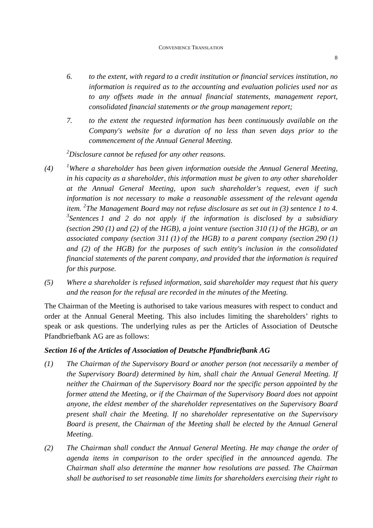- *6. to the extent, with regard to a credit institution or financial services institution, no information is required as to the accounting and evaluation policies used nor as to any offsets made in the annual financial statements, management report, consolidated financial statements or the group management report;*
- *7. to the extent the requested information has been continuously available on the Company's website for a duration of no less than seven days prior to the commencement of the Annual General Meeting.*

*<sup>2</sup>Disclosure cannot be refused for any other reasons.*

- *(4) <sup>1</sup>Where a shareholder has been given information outside the Annual General Meeting, in his capacity as a shareholder, this information must be given to any other shareholder at the Annual General Meeting, upon such shareholder's request, even if such information is not necessary to make a reasonable assessment of the relevant agenda item. <sup>2</sup> The Management Board may not refuse disclosure as set out in (3) sentence 1 to 4. 3 Sentences 1 and 2 do not apply if the information is disclosed by a subsidiary (section 290 (1) and (2) of the HGB), a joint venture (section 310 (1) of the HGB), or an associated company (section 311 (1) of the HGB) to a parent company (section 290 (1) and (2) of the HGB) for the purposes of such entity's inclusion in the consolidated financial statements of the parent company, and provided that the information is required for this purpose.*
- *(5) Where a shareholder is refused information, said shareholder may request that his query and the reason for the refusal are recorded in the minutes of the Meeting.*

The Chairman of the Meeting is authorised to take various measures with respect to conduct and order at the Annual General Meeting. This also includes limiting the shareholders' rights to speak or ask questions. The underlying rules as per the Articles of Association of Deutsche Pfandbriefbank AG are as follows:

# *Section 16 of the Articles of Association of Deutsche Pfandbriefbank AG*

- *(1) The Chairman of the Supervisory Board or another person (not necessarily a member of the Supervisory Board) determined by him, shall chair the Annual General Meeting. If neither the Chairman of the Supervisory Board nor the specific person appointed by the former attend the Meeting, or if the Chairman of the Supervisory Board does not appoint anyone, the eldest member of the shareholder representatives on the Supervisory Board present shall chair the Meeting. If no shareholder representative on the Supervisory Board is present, the Chairman of the Meeting shall be elected by the Annual General Meeting.*
- *(2) The Chairman shall conduct the Annual General Meeting. He may change the order of agenda items in comparison to the order specified in the announced agenda. The Chairman shall also determine the manner how resolutions are passed. The Chairman shall be authorised to set reasonable time limits for shareholders exercising their right to*